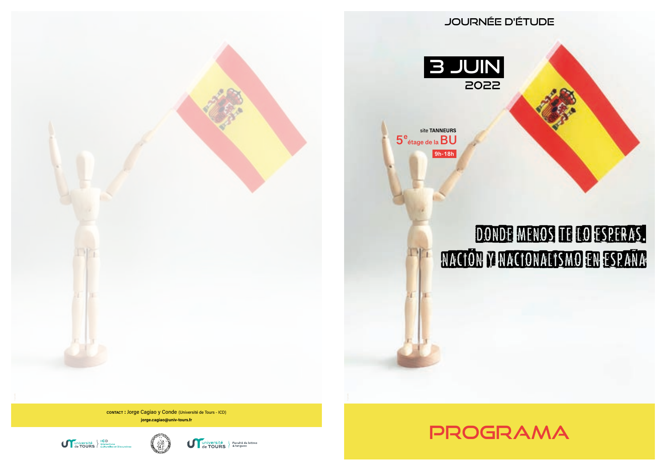

2022

Journée d'étude

**5e étage de laBU** site TANNEURS **9h-18h**

# donde menos te lo esperas**.** nacion y nacionalismo en espana

**CONTACT : JOrge Cagiao y Conde (Université de Tours - ICD)** jorge.cagiao@univ-tours.fr